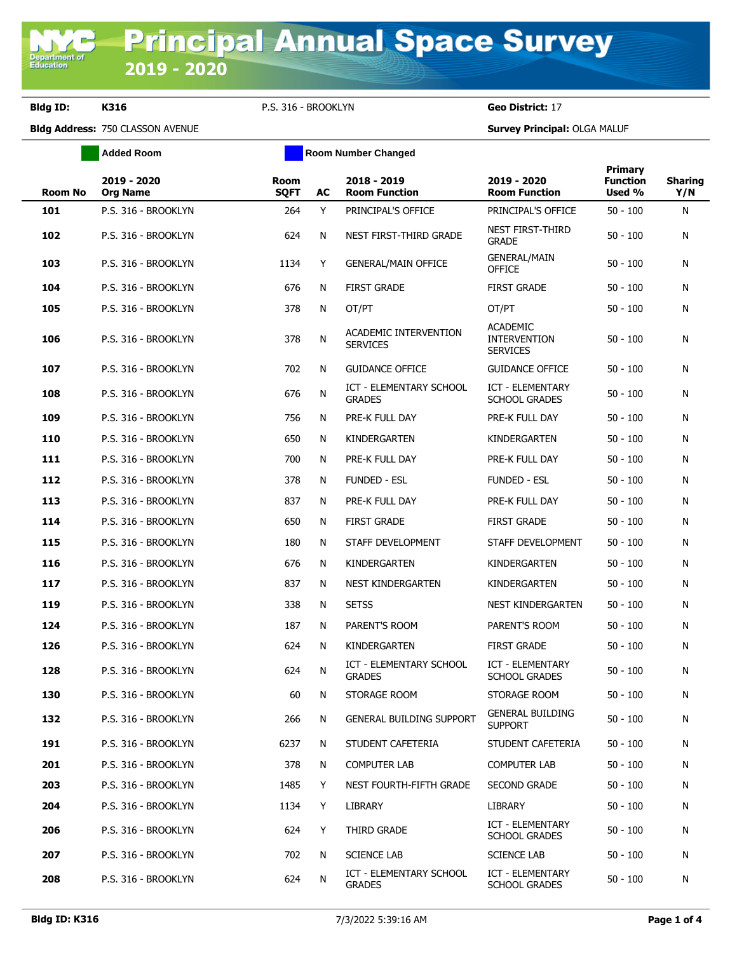**Department of**<br>Education

**Bldg ID: K316** P.S. 316 - BROOKLYN **Geo District:** 17

**Bldg Address:** 750 CLASSON AVENUE **Survey Principal:** OLGA MALUF

|                | <b>Added Room</b>              | <b>Room Number Changed</b> |    |                                          |                                                           |                                             |                       |  |
|----------------|--------------------------------|----------------------------|----|------------------------------------------|-----------------------------------------------------------|---------------------------------------------|-----------------------|--|
| <b>Room No</b> | 2019 - 2020<br><b>Org Name</b> | <b>Room</b><br><b>SQFT</b> | AC | 2018 - 2019<br><b>Room Function</b>      | 2019 - 2020<br><b>Room Function</b>                       | <b>Primary</b><br><b>Function</b><br>Used % | <b>Sharing</b><br>Y/N |  |
| 101            | P.S. 316 - BROOKLYN            | 264                        | Y  | PRINCIPAL'S OFFICE                       | PRINCIPAL'S OFFICE                                        | $50 - 100$                                  | N                     |  |
| 102            | P.S. 316 - BROOKLYN            | 624                        | N  | NEST FIRST-THIRD GRADE                   | <b>NEST FIRST-THIRD</b><br><b>GRADE</b>                   | $50 - 100$                                  | N                     |  |
| 103            | P.S. 316 - BROOKLYN            | 1134                       | Y  | <b>GENERAL/MAIN OFFICE</b>               | <b>GENERAL/MAIN</b><br><b>OFFICE</b>                      | $50 - 100$                                  | N                     |  |
| 104            | P.S. 316 - BROOKLYN            | 676                        | N  | <b>FIRST GRADE</b>                       | <b>FIRST GRADE</b>                                        | $50 - 100$                                  | N                     |  |
| 105            | P.S. 316 - BROOKLYN            | 378                        | N  | OT/PT                                    | OT/PT                                                     | $50 - 100$                                  | N                     |  |
| 106            | P.S. 316 - BROOKLYN            | 378                        | N  | ACADEMIC INTERVENTION<br><b>SERVICES</b> | <b>ACADEMIC</b><br><b>INTERVENTION</b><br><b>SERVICES</b> | $50 - 100$                                  | N                     |  |
| 107            | P.S. 316 - BROOKLYN            | 702                        | N  | <b>GUIDANCE OFFICE</b>                   | <b>GUIDANCE OFFICE</b>                                    | $50 - 100$                                  | N                     |  |
| 108            | P.S. 316 - BROOKLYN            | 676                        | N  | ICT - ELEMENTARY SCHOOL<br><b>GRADES</b> | <b>ICT - ELEMENTARY</b><br><b>SCHOOL GRADES</b>           | $50 - 100$                                  | N                     |  |
| 109            | P.S. 316 - BROOKLYN            | 756                        | N  | PRE-K FULL DAY                           | PRE-K FULL DAY                                            | $50 - 100$                                  | N                     |  |
| 110            | P.S. 316 - BROOKLYN            | 650                        | N  | KINDERGARTEN                             | KINDERGARTEN                                              | $50 - 100$                                  | N                     |  |
| 111            | P.S. 316 - BROOKLYN            | 700                        | N  | PRE-K FULL DAY                           | PRE-K FULL DAY                                            | $50 - 100$                                  | N                     |  |
| 112            | P.S. 316 - BROOKLYN            | 378                        | N  | <b>FUNDED - ESL</b>                      | <b>FUNDED - ESL</b>                                       | $50 - 100$                                  | N                     |  |
| 113            | P.S. 316 - BROOKLYN            | 837                        | N  | PRE-K FULL DAY                           | PRE-K FULL DAY                                            | $50 - 100$                                  | N                     |  |
| 114            | P.S. 316 - BROOKLYN            | 650                        | N  | <b>FIRST GRADE</b>                       | <b>FIRST GRADE</b>                                        | $50 - 100$                                  | N                     |  |
| 115            | P.S. 316 - BROOKLYN            | 180                        | N  | STAFF DEVELOPMENT                        | STAFF DEVELOPMENT                                         | $50 - 100$                                  | N                     |  |
| 116            | P.S. 316 - BROOKLYN            | 676                        | N  | KINDERGARTEN                             | KINDERGARTEN                                              | $50 - 100$                                  | N                     |  |
| 117            | P.S. 316 - BROOKLYN            | 837                        | N  | NEST KINDERGARTEN                        | KINDERGARTEN                                              | $50 - 100$                                  | N                     |  |
| 119            | P.S. 316 - BROOKLYN            | 338                        | N  | <b>SETSS</b>                             | NEST KINDERGARTEN                                         | $50 - 100$                                  | N                     |  |
| 124            | P.S. 316 - BROOKLYN            | 187                        | N  | PARENT'S ROOM                            | PARENT'S ROOM                                             | $50 - 100$                                  | N                     |  |
| 126            | P.S. 316 - BROOKLYN            | 624                        | N  | KINDERGARTEN                             | <b>FIRST GRADE</b>                                        | $50 - 100$                                  | N                     |  |
| 128            | P.S. 316 - BROOKLYN            | 624                        | N  | ICT - ELEMENTARY SCHOOL<br><b>GRADES</b> | <b>ICT - ELEMENTARY</b><br><b>SCHOOL GRADES</b>           | $50 - 100$                                  | N                     |  |
| 130            | P.S. 316 - BROOKLYN            | 60                         | N  | STORAGE ROOM                             | STORAGE ROOM                                              | $50 - 100$                                  | N                     |  |
| 132            | P.S. 316 - BROOKLYN            | 266                        | N  | <b>GENERAL BUILDING SUPPORT</b>          | <b>GENERAL BUILDING</b><br><b>SUPPORT</b>                 | $50 - 100$                                  | N                     |  |
| 191            | P.S. 316 - BROOKLYN            | 6237                       | N  | STUDENT CAFETERIA                        | STUDENT CAFETERIA                                         | $50 - 100$                                  | N                     |  |
| 201            | P.S. 316 - BROOKLYN            | 378                        | N  | <b>COMPUTER LAB</b>                      | <b>COMPUTER LAB</b>                                       | $50 - 100$                                  | N                     |  |
| 203            | P.S. 316 - BROOKLYN            | 1485                       | Y  | NEST FOURTH-FIFTH GRADE                  | <b>SECOND GRADE</b>                                       | $50 - 100$                                  | N                     |  |
| 204            | P.S. 316 - BROOKLYN            | 1134                       | Y  | LIBRARY                                  | <b>LIBRARY</b>                                            | $50 - 100$                                  | N                     |  |
| 206            | P.S. 316 - BROOKLYN            | 624                        | Y. | THIRD GRADE                              | <b>ICT - ELEMENTARY</b><br><b>SCHOOL GRADES</b>           | $50 - 100$                                  | N                     |  |
| 207            | P.S. 316 - BROOKLYN            | 702                        | N  | <b>SCIENCE LAB</b>                       | <b>SCIENCE LAB</b>                                        | $50 - 100$                                  | N                     |  |
| 208            | P.S. 316 - BROOKLYN            | 624                        | N  | ICT - ELEMENTARY SCHOOL<br><b>GRADES</b> | ICT - ELEMENTARY<br><b>SCHOOL GRADES</b>                  | $50 - 100$                                  | N                     |  |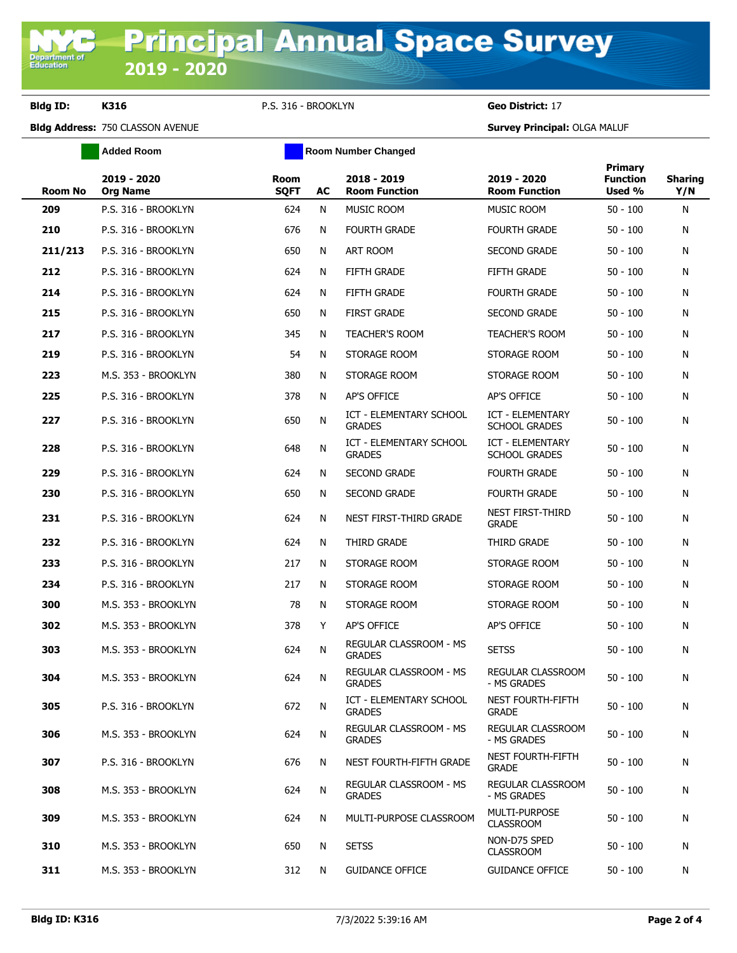**Bldg ID: K316** P.S. 316 - BROOKLYN **Geo District:** 17

**Added Room Room Room Number Changed** 

**Bldg Address:** 750 CLASSON AVENUE **Survey Principal:** OLGA MALUF

| <b>Room No</b> | 2019 - 2020<br><b>Org Name</b> | <b>Room</b><br><b>SQFT</b> | AC | 2018 - 2019<br><b>Room Function</b>             | 2019 - 2020<br><b>Room Function</b>             | <b>Primary</b><br><b>Function</b><br>Used % | <b>Sharing</b><br>Y/N |
|----------------|--------------------------------|----------------------------|----|-------------------------------------------------|-------------------------------------------------|---------------------------------------------|-----------------------|
| 209            | P.S. 316 - BROOKLYN            | 624                        | N  | MUSIC ROOM                                      | MUSIC ROOM                                      | $50 - 100$                                  | N                     |
| 210            | P.S. 316 - BROOKLYN            | 676                        | N  | <b>FOURTH GRADE</b>                             | <b>FOURTH GRADE</b>                             | $50 - 100$                                  | N                     |
| 211/213        | P.S. 316 - BROOKLYN            | 650                        | N  | ART ROOM                                        | <b>SECOND GRADE</b>                             | $50 - 100$                                  | N                     |
| 212            | P.S. 316 - BROOKLYN            | 624                        | N  | <b>FIFTH GRADE</b>                              | <b>FIFTH GRADE</b>                              | $50 - 100$                                  | N                     |
| 214            | P.S. 316 - BROOKLYN            | 624                        | N  | <b>FIFTH GRADE</b>                              | <b>FOURTH GRADE</b>                             | $50 - 100$                                  | N                     |
| 215            | P.S. 316 - BROOKLYN            | 650                        | N  | <b>FIRST GRADE</b>                              | <b>SECOND GRADE</b>                             | $50 - 100$                                  | N                     |
| 217            | P.S. 316 - BROOKLYN            | 345                        | N  | <b>TEACHER'S ROOM</b>                           | <b>TEACHER'S ROOM</b>                           | $50 - 100$                                  | N                     |
| 219            | P.S. 316 - BROOKLYN            | 54                         | N  | STORAGE ROOM                                    | STORAGE ROOM                                    | $50 - 100$                                  | N                     |
| 223            | M.S. 353 - BROOKLYN            | 380                        | N  | STORAGE ROOM                                    | STORAGE ROOM                                    | $50 - 100$                                  | N                     |
| 225            | P.S. 316 - BROOKLYN            | 378                        | N  | <b>AP'S OFFICE</b>                              | AP'S OFFICE                                     | $50 - 100$                                  | N                     |
| 227            | P.S. 316 - BROOKLYN            | 650                        | Ν  | <b>ICT - ELEMENTARY SCHOOL</b><br><b>GRADES</b> | <b>ICT - ELEMENTARY</b><br><b>SCHOOL GRADES</b> | $50 - 100$                                  | N                     |
| 228            | P.S. 316 - BROOKLYN            | 648                        | N  | ICT - ELEMENTARY SCHOOL<br><b>GRADES</b>        | <b>ICT - ELEMENTARY</b><br><b>SCHOOL GRADES</b> | $50 - 100$                                  | N                     |
| 229            | P.S. 316 - BROOKLYN            | 624                        | N  | <b>SECOND GRADE</b>                             | <b>FOURTH GRADE</b>                             | $50 - 100$                                  | N                     |
| 230            | P.S. 316 - BROOKLYN            | 650                        | N  | <b>SECOND GRADE</b>                             | <b>FOURTH GRADE</b>                             | $50 - 100$                                  | N                     |
| 231            | P.S. 316 - BROOKLYN            | 624                        | N  | NEST FIRST-THIRD GRADE                          | NEST FIRST-THIRD<br><b>GRADE</b>                | $50 - 100$                                  | N                     |
| 232            | P.S. 316 - BROOKLYN            | 624                        | N  | THIRD GRADE                                     | THIRD GRADE                                     | $50 - 100$                                  | N                     |
| 233            | P.S. 316 - BROOKLYN            | 217                        | Ν  | STORAGE ROOM                                    | STORAGE ROOM                                    | $50 - 100$                                  | N                     |
| 234            | P.S. 316 - BROOKLYN            | 217                        | N  | STORAGE ROOM                                    | STORAGE ROOM                                    | $50 - 100$                                  | N                     |
| 300            | M.S. 353 - BROOKLYN            | 78                         | N  | STORAGE ROOM                                    | STORAGE ROOM                                    | $50 - 100$                                  | N                     |
| 302            | M.S. 353 - BROOKLYN            | 378                        | Y  | <b>AP'S OFFICE</b>                              | AP'S OFFICE                                     | $50 - 100$                                  | N                     |
| 303            | M.S. 353 - BROOKLYN            | 624                        | N  | REGULAR CLASSROOM - MS<br><b>GRADES</b>         | <b>SETSS</b>                                    | $50 - 100$                                  | N                     |
| 304            | M.S. 353 - BROOKLYN            | 624                        | N  | REGULAR CLASSROOM - MS<br><b>GRADES</b>         | <b>REGULAR CLASSROOM</b><br>- MS GRADES         | $50 - 100$                                  | Ν                     |
| 305            | P.S. 316 - BROOKLYN            | 672                        | N  | ICT - ELEMENTARY SCHOOL<br><b>GRADES</b>        | NEST FOURTH-FIFTH<br><b>GRADE</b>               | $50 - 100$                                  | N                     |
| 306            | M.S. 353 - BROOKLYN            | 624                        | N  | REGULAR CLASSROOM - MS<br><b>GRADES</b>         | <b>REGULAR CLASSROOM</b><br>- MS GRADES         | $50 - 100$                                  | N                     |
| 307            | P.S. 316 - BROOKLYN            | 676                        | N  | NEST FOURTH-FIFTH GRADE                         | <b>NEST FOURTH-FIFTH</b><br><b>GRADE</b>        | $50 - 100$                                  | N                     |
| 308            | M.S. 353 - BROOKLYN            | 624                        | N  | REGULAR CLASSROOM - MS<br><b>GRADES</b>         | REGULAR CLASSROOM<br>- MS GRADES                | $50 - 100$                                  | N                     |
| 309            | M.S. 353 - BROOKLYN            | 624                        | N  | MULTI-PURPOSE CLASSROOM                         | MULTI-PURPOSE<br><b>CLASSROOM</b>               | $50 - 100$                                  | N                     |
| 310            | M.S. 353 - BROOKLYN            | 650                        | N  | <b>SETSS</b>                                    | NON-D75 SPED<br><b>CLASSROOM</b>                | $50 - 100$                                  | N                     |
| 311            | M.S. 353 - BROOKLYN            | 312                        | N  | <b>GUIDANCE OFFICE</b>                          | <b>GUIDANCE OFFICE</b>                          | $50 - 100$                                  | N                     |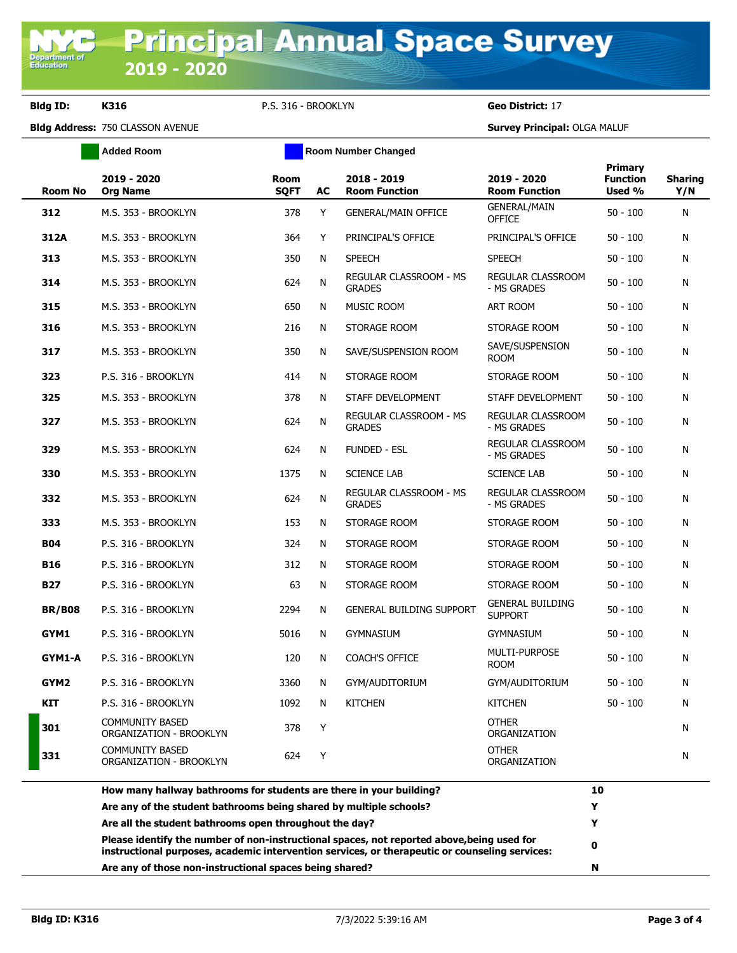**Bldg ID: K316** P.S. 316 - BROOKLYN **Geo District:** 17

**Added Room Room Room Number Changed** 

**Bldg Address:** 750 CLASSON AVENUE **Survey Principal:** OLGA MALUF

|               | 2019 - 2020<br><b>Room No</b><br><b>Org Name</b>  | <b>Room</b><br><b>SQFT</b> | AC | 2018 - 2019<br><b>Room Function</b>            | 2019 - 2020<br><b>Room Function</b>       | Primary<br><b>Function</b><br>Used % | <b>Sharing</b><br>Y/N |
|---------------|---------------------------------------------------|----------------------------|----|------------------------------------------------|-------------------------------------------|--------------------------------------|-----------------------|
| 312           | M.S. 353 - BROOKLYN                               | 378                        | Y  | <b>GENERAL/MAIN OFFICE</b>                     | <b>GENERAL/MAIN</b><br><b>OFFICE</b>      | $50 - 100$                           | N                     |
| 312A          | M.S. 353 - BROOKLYN                               | 364                        | Y  | PRINCIPAL'S OFFICE                             | PRINCIPAL'S OFFICE                        | $50 - 100$                           | N                     |
| 313           | M.S. 353 - BROOKLYN                               | 350                        | N  | <b>SPEECH</b>                                  | <b>SPEECH</b>                             | $50 - 100$                           | N                     |
| 314           | M.S. 353 - BROOKLYN                               | 624                        | N  | <b>REGULAR CLASSROOM - MS</b><br><b>GRADES</b> | <b>REGULAR CLASSROOM</b><br>- MS GRADES   | $50 - 100$                           | N                     |
| 315           | M.S. 353 - BROOKLYN                               | 650                        | N  | <b>MUSIC ROOM</b>                              | ART ROOM                                  | $50 - 100$                           | N                     |
| 316           | M.S. 353 - BROOKLYN                               | 216                        | N  | STORAGE ROOM                                   | STORAGE ROOM                              | $50 - 100$                           | N                     |
| 317           | M.S. 353 - BROOKLYN                               | 350                        | N  | SAVE/SUSPENSION ROOM                           | SAVE/SUSPENSION<br><b>ROOM</b>            | $50 - 100$                           | N                     |
| 323           | P.S. 316 - BROOKLYN                               | 414                        | N  | STORAGE ROOM                                   | STORAGE ROOM                              | $50 - 100$                           | N                     |
| 325           | M.S. 353 - BROOKLYN                               | 378                        | N  | STAFF DEVELOPMENT                              | STAFF DEVELOPMENT                         | $50 - 100$                           | N                     |
| 327           | M.S. 353 - BROOKLYN                               | 624                        | N  | REGULAR CLASSROOM - MS<br><b>GRADES</b>        | REGULAR CLASSROOM<br>- MS GRADES          | $50 - 100$                           | N                     |
| 329           | M.S. 353 - BROOKLYN                               | 624                        | N  | <b>FUNDED - ESL</b>                            | <b>REGULAR CLASSROOM</b><br>- MS GRADES   | $50 - 100$                           | N                     |
| 330           | M.S. 353 - BROOKLYN                               | 1375                       | N  | <b>SCIENCE LAB</b>                             | <b>SCIENCE LAB</b>                        | $50 - 100$                           | N                     |
| 332           | M.S. 353 - BROOKLYN                               | 624                        | N  | REGULAR CLASSROOM - MS<br><b>GRADES</b>        | REGULAR CLASSROOM<br>- MS GRADES          | $50 - 100$                           | N                     |
| 333           | M.S. 353 - BROOKLYN                               | 153                        | N  | STORAGE ROOM                                   | STORAGE ROOM                              | $50 - 100$                           | N                     |
| <b>B04</b>    | P.S. 316 - BROOKLYN                               | 324                        | N  | STORAGE ROOM                                   | STORAGE ROOM                              | $50 - 100$                           | N                     |
| <b>B16</b>    | P.S. 316 - BROOKLYN                               | 312                        | N  | STORAGE ROOM                                   | STORAGE ROOM                              | $50 - 100$                           | N                     |
| <b>B27</b>    | P.S. 316 - BROOKLYN                               | 63                         | N  | STORAGE ROOM                                   | STORAGE ROOM                              | $50 - 100$                           | N                     |
| <b>BR/B08</b> | P.S. 316 - BROOKLYN                               | 2294                       | N  | <b>GENERAL BUILDING SUPPORT</b>                | <b>GENERAL BUILDING</b><br><b>SUPPORT</b> | $50 - 100$                           | N                     |
| GYM1          | P.S. 316 - BROOKLYN                               | 5016                       | N  | <b>GYMNASIUM</b>                               | <b>GYMNASIUM</b>                          | $50 - 100$                           | N                     |
| GYM1-A        | P.S. 316 - BROOKLYN                               | 120                        | N  | <b>COACH'S OFFICE</b>                          | MULTI-PURPOSE<br><b>ROOM</b>              | $50 - 100$                           | N                     |
| GYM2          | P.S. 316 - BROOKLYN                               | 3360                       | N  | GYM/AUDITORIUM                                 | GYM/AUDITORIUM                            | $50 - 100$                           | N                     |
| <b>KIT</b>    | P.S. 316 - BROOKLYN                               | 1092                       | N  | <b>KITCHEN</b>                                 | <b>KITCHEN</b>                            | $50 - 100$                           | N                     |
| 301           | <b>COMMUNITY BASED</b><br>ORGANIZATION - BROOKLYN | 378                        | Y  |                                                | <b>OTHER</b><br>ORGANIZATION              |                                      | N                     |
| 331           | <b>COMMUNITY BASED</b><br>ORGANIZATION - BROOKLYN | 624                        | Y  |                                                | <b>OTHER</b><br>ORGANIZATION              |                                      | N                     |
|               |                                                   |                            |    |                                                |                                           |                                      |                       |

| Are any of those non-instructional spaces being shared?                                                                                                                                      | N  |  |
|----------------------------------------------------------------------------------------------------------------------------------------------------------------------------------------------|----|--|
| Please identify the number of non-instructional spaces, not reported above, being used for<br>instructional purposes, academic intervention services, or therapeutic or counseling services: | 0  |  |
| Are all the student bathrooms open throughout the day?                                                                                                                                       |    |  |
| Are any of the student bathrooms being shared by multiple schools?                                                                                                                           |    |  |
| How many hallway bathrooms for students are there in your building?                                                                                                                          | 10 |  |